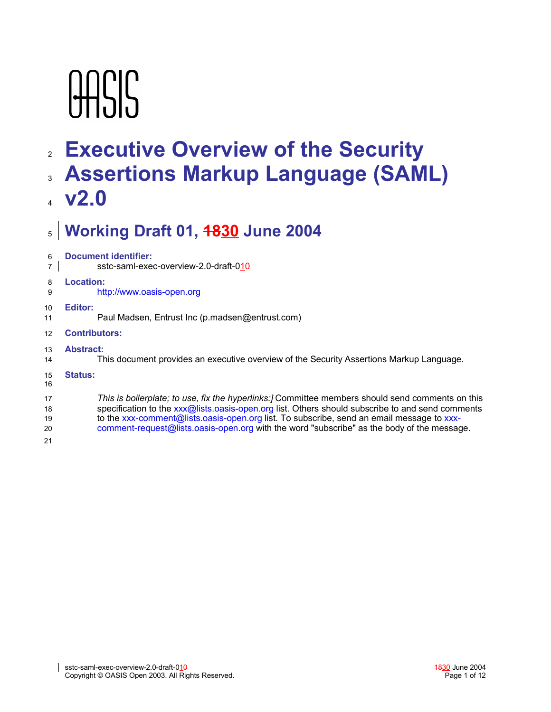# **AASIS**

# **Executive Overview of the Security** 2

# **Assertions Markup Language (SAML)** 3

# **v2.0** 4

## **Working Draft 01, 1830 June 2004** 5

| <b>Document identifier:</b><br>sstc-saml-exec-overview-2.0-draft-010                                                                                                                                                                                                                                                                                                                           |  |  |  |  |
|------------------------------------------------------------------------------------------------------------------------------------------------------------------------------------------------------------------------------------------------------------------------------------------------------------------------------------------------------------------------------------------------|--|--|--|--|
| Location:<br>http://www.oasis-open.org                                                                                                                                                                                                                                                                                                                                                         |  |  |  |  |
| Editor:<br>Paul Madsen, Entrust Inc (p.madsen@entrust.com)                                                                                                                                                                                                                                                                                                                                     |  |  |  |  |
| <b>Contributors:</b>                                                                                                                                                                                                                                                                                                                                                                           |  |  |  |  |
| <b>Abstract:</b><br>This document provides an executive overview of the Security Assertions Markup Language.                                                                                                                                                                                                                                                                                   |  |  |  |  |
| <b>Status:</b>                                                                                                                                                                                                                                                                                                                                                                                 |  |  |  |  |
| This is boilerplate; to use, fix the hyperlinks: Committee members should send comments on this<br>specification to the xxx@lists.oasis-open.org list. Others should subscribe to and send comments<br>to the xxx-comment@lists.oasis-open.org list. To subscribe, send an email message to xxx-<br>comment-request@lists.oasis-open.org with the word "subscribe" as the body of the message. |  |  |  |  |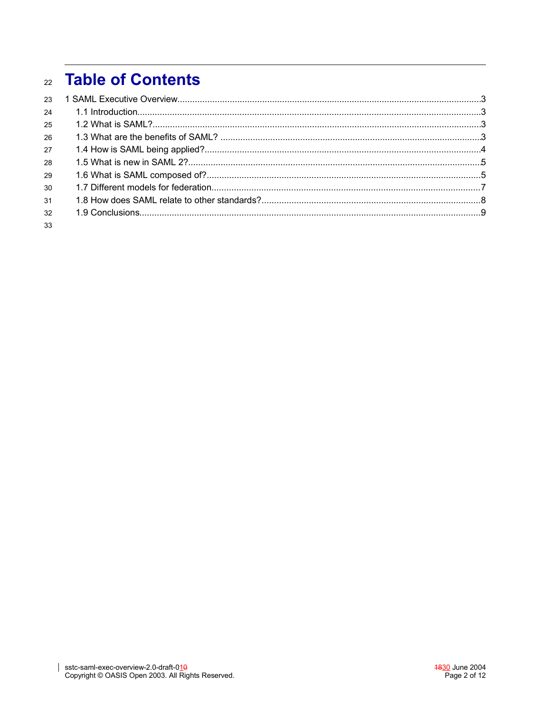# **Table of Contents**  $22$

| 23 |  |
|----|--|
| 24 |  |
| 25 |  |
| 26 |  |
| 27 |  |
| 28 |  |
| 29 |  |
| 30 |  |
| 31 |  |
| 32 |  |
| 33 |  |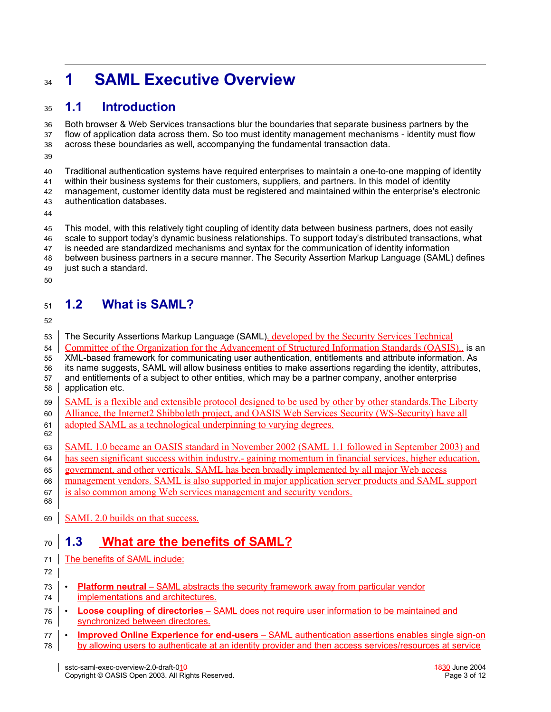## **1 SAML Executive Overview**  $34$

#### **1.1 Introduction** 35

Both browser & Web Services transactions blur the boundaries that separate business partners by the flow of application data across them. So too must identity management mechanisms - identity must flow across these boundaries as well, accompanying the fundamental transaction data. 36 37 38

39

Traditional authentication systems have required enterprises to maintain a one-to-one mapping of identity within their business systems for their customers, suppliers, and partners. In this model of identity management, customer identity data must be registered and maintained within the enterprise's electronic 40 41 42

- authentication databases. 43
- 44

This model, with this relatively tight coupling of identity data between business partners, does not easily scale to support today's dynamic business relationships. To support today's distributed transactions, what is needed are standardized mechanisms and syntax for the communication of identity information between business partners in a secure manner. The Security Assertion Markup Language (SAML) defines just such a standard. 45 46 47 48 49

50

#### **1.2 What is SAML?** 51

52

The Security Assertions Markup Language (SAML), developed by the Security Services Technical Committee of the Organization for the Advancement of Structured Information Standards (OASIS)., is an XML-based framework for communicating user authentication, entitlements and attribute information. As its name suggests, SAML will allow business entities to make assertions regarding the identity, attributes, and entitlements of a subject to other entities, which may be a partner company, another enterprise application etc. SAML is a flexible and extensible protocol designed to be used by other by other standards.The Liberty Alliance, the Internet2 Shibboleth project, and OASIS Web Services Security (WS-Security) have all adopted SAML as a technological underpinning to varying degrees. SAML 1.0 became an OASIS standard in November 2002 (SAML 1.1 followed in September 2003) and has seen significant success within industry.- gaining momentum in financial services, higher education, government, and other verticals. SAML has been broadly implemented by all major Web access management vendors. SAML is also supported in major application server products and SAML support is also common among Web services management and security vendors. 53 54 55 56 57 58 59 60 61 62 63 64 65 66 67 68

SAML 2.0 builds on that success. 69

#### **1.3 What are the benefits of SAML?** 70

- The benefits of SAML include: 71
- 72
- **Platform neutral** SAML abstracts the security framework away from particular vendor implementations and architectures. 73 74
- Loose coupling of directories SAML does not require user information to be maintained and synchronized between directores. 75 76
- **Imp roved Online Experience for end-users** –SAML authentication assertions enables single sign-on by allowing users to authenticate at an identity provider and then access services/resources at service 77 78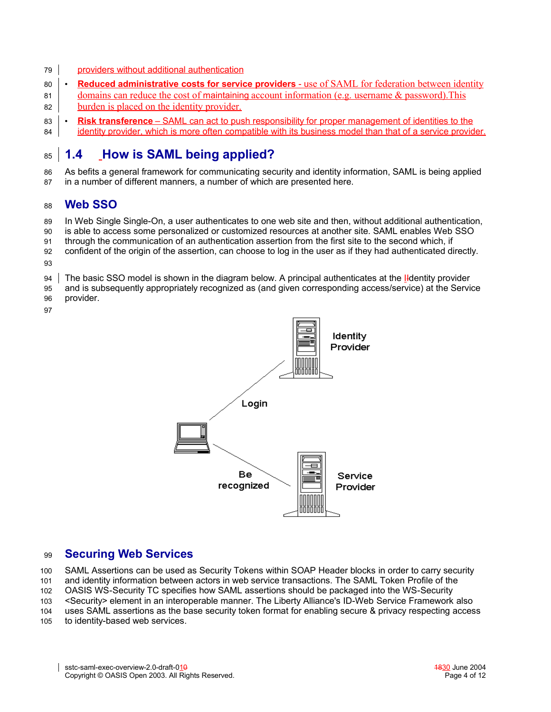- providers without additional authentication 79
- **Reduced administrative costs for service providers** use of SAML for federation between identity domains can reduce the cost of maintaining account information (e.g. username & password).This  $80$ 81
- burden is placed on the identity provider. 82
- **Risk transference** SAML can act to push responsibility for proper management of identities to the identity provider, which is more often compatible with its business model than that of a service provider. 83 84

#### **1.4 How is SAML being applied?** 85

As befits a general framework for communicating security and identity information, SAML is being applied 86

in a number of different manners, a number of which are presented here. 87

#### **Web SSO** 88

In Web Single Single-On, a user authenticates to one web site and then, without additional authentication, 89

is able to access some personalized or customized resources at another site. SAML enables Web SSO 90

through the communication of an authentication assertion from the first site to the second which, if 91

confident of the origin of the assertion, can choose to log in the user as if they had authenticated directly. 92

- 93
- The basic SSO model is shown in the diagram below. A principal authenticates at the Ildentity provider 94
- and is subsequently appropriately recognized as (and given corresponding access/service) at the Service provider. 95
- 96 97



#### **Securing Web Services** 99

SAML Assertions can be used as Security Tokens within SOAP Header blocks in order to carry security and identity information between actors in web service transactions. The SAML Token Profile of the OASIS WS-Security TC specifies how SAML assertions should be packaged into the WS-Security <Security> element in an interoperable manner. The Liberty Alliance's ID-Web Service Framework also uses SAML assertions as the base security token format for enabling secure & privacy respecting access to identity-based web services. 100 101 102 103 104 105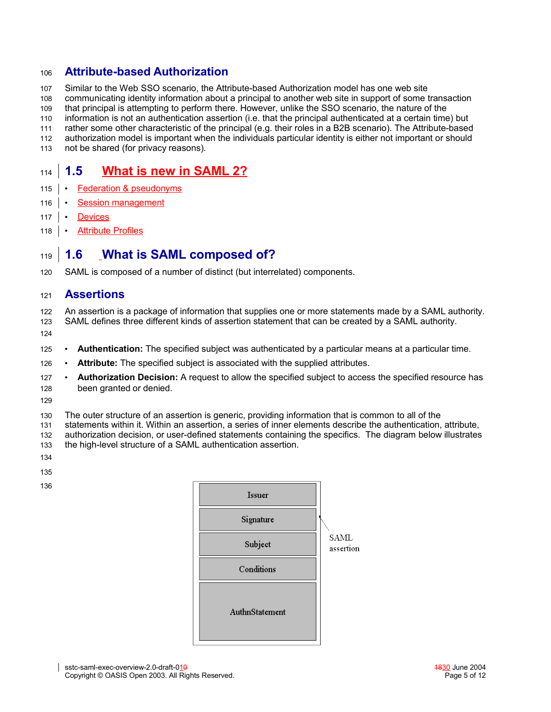#### **Attribute-based Authorization** 106

Similar to the Web SSO scenario, the Attribute-based Authorization model has one web site 107

communicating identity information about a principal to another web site in support of some transaction 108

that principal is attempting to perform there. However, unlike the SSO scenario, the nature of the 109

information is not an authentication assertion (i.e. that the principal authenticated at a certain time) but 110

rather some other characteristic of the principal (e.g. their roles in a B2B scenario). The Attribute-based 111

- authorization model is important when the individuals particular identity is either not important or should 112 113
- not be shared (for privacy reasons).

#### **1.5 What is new in SAML 2?** 114

- Federation & pseudonyms 115
- **Session management** 116
- **Devices**  $117 \cdot$
- Attribute Profiles  $118$

#### **1.6 What is SAML composed of?** 119

SAML is composed of a number of distinct (but interrelated) components. 120

#### **Assertions** 121

An assertion is a package of information that supplies one or more statements made by a SAML authority. SAML defines three different kinds of assertion statement that can be created by a SAML authority. 122 123

- 124
- **Authentication:** The specified subject was authenticated by a particular means at a particular time. 125
- **Attribute:** The specified subject is associated with the supplied attributes. 126
- **Authorization Decision:** A request to allow the specified subject to access the specified resource has been granted or denied. 127 128
- 129
- The outer structure of an assertion is generic, providing information that is common to all of the 130

statements within it. Within an assertion, a series of inner elements describe the authentication, attribute, authorization decision, or user-defined statements containing the specifics. The diagram below illustrates the high-level structure of a SAML authentication assertion. 131 132 133

- 134
- 135

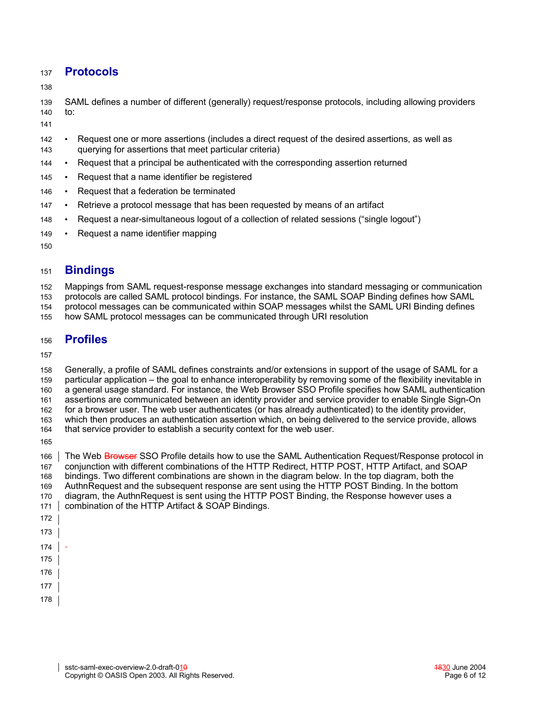#### **Protocols** 137

138

SAML defines a number of different (generally) request/response protocols, including allowing providers to: 139 140

141

- Request one or more assertions (includes a direct request of the desired assertions, as well as querying for assertions that meet particular criteria) 142 143
- Request that a principal be authenticated with the corresponding assertion returned 144
- Request that a name identifier be registered 145
- Request that a federation be terminated 146
- Retrieve a protocol message that has been requested by means of an artifact 147
- Request a near-simultaneous logout of a collection of related sessions ("single logout") 148
- Request a name identifier mapping 149

150

#### **Bindings** 151

Mappings from SAML request-response message exchanges into standard messaging or communication 152

protocols are called SAML protocol bindings. For instance, the SAML SOAP Binding defines how SAML 153

protocol messages can be communicated within SOAP messages whilst the SAML URI Binding defines 154

how SAML protocol messages can be communicated through URI resolution 155

#### **Profiles** 156

157

Generally, a profile of SAML defines constraints and/or extensions in support of the usage of SAML for a particular application – the goal to enhance interoperability by removing some of the flexibility inevitable in a general usage standard. For instance, the Web Browser SSO Profile specifies how SAML authentication assertions are communicated between an identity provider and service provider to enable Single Sign-On for a browser user. The web user authenticates (or has already authenticated) to the identity provider, which then produces an authentication assertion which, on being delivered to the service provide, allows that service provider to establish a security context for the web user. 158 159 160 161 162 163 164

165

The Web Browser SSO Profile details how to use the SAML Authentication Request/Response protocol in conjunction with different combinations of the HTTP Redirect, HTTP POST, HTTP Artifact, and SOAP bindings. Two different combinations are shown in the diagram below. In the top diagram, both the AuthnRequest and the subsequent response are sent using the HTTP POST Binding. In the bottom diagram, the AuthnRequest is sent using the HTTP POST Binding, the Response however uses a combination of the HTTP Artifact & SOAP Bindings. 166 167 168 169 170 171 172

173

174

175

- 177
- 178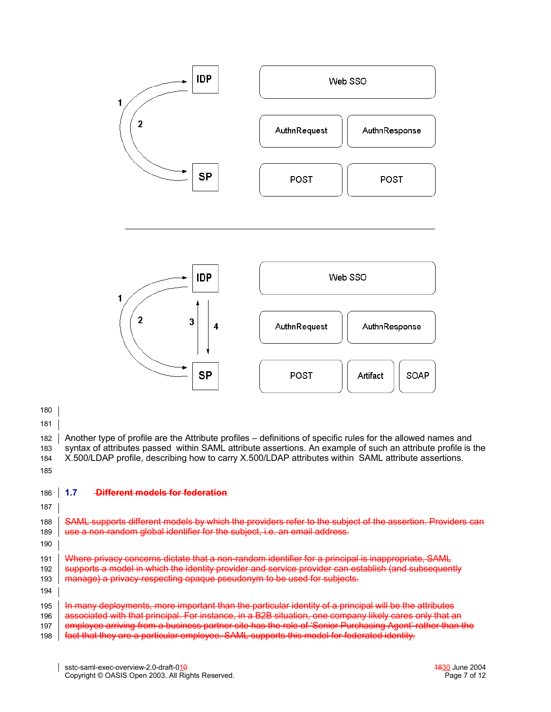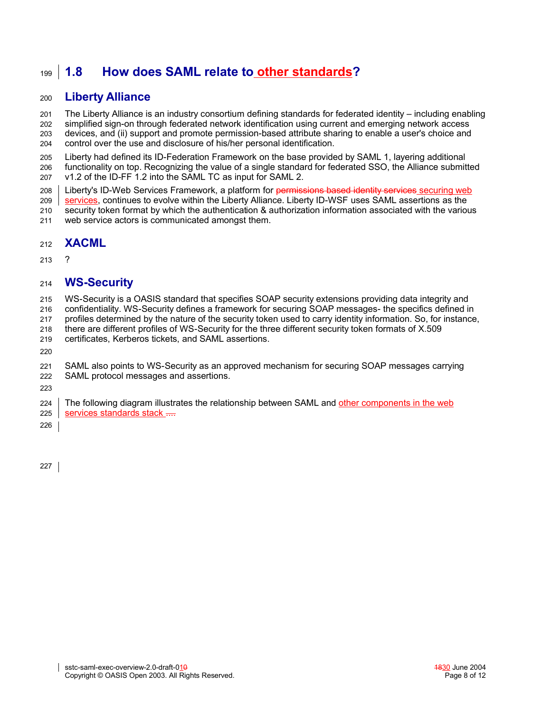#### **1.8 How does SAML relate to other standards?** 199

#### **Liberty Alliance** 200

The Liberty Alliance is an industry consortium defining standards for federated identity – including enabling simplified sign-on through federated network identification using current and emerging network access devices, and (ii) support and promote permission-based attribute sharing to enable a user's choice and control over the use and disclosure of his/her personal identification. 201 202 203 204

Liberty had defined its ID-Federation Framework on the base provided by SAML 1, layering additional functionality on top. Recognizing the value of a single standard for federated SSO, the Alliance submitted v1.2 of the ID-FF 1.2 into the SAML TC as input for SAML 2. 205 206 207

Liberty's ID-Web Services Framework, a platform for permissions based identity services securing web 208

services, continues to evolve within the Liberty Alliance. Liberty ID-WSF uses SAML assertions as the 209

security token format by which the authentication & authorization information associated with the various web service actors is communicated amongst them. 210 211

#### **XACML** 212

? 213

#### **WS-Security** 214

WS-Security is a OASIS standard that specifies SOAP security extensions providing data integrity and 215

confidentiality. WS-Security defines a framework for securing SOAP messages- the specifics defined in 216

profiles determined by the nature of the security token used to carry identity information. So, for instance, 217

there are different profiles of WS-Security for the three different security token formats of X.509 218

certificates, Kerberos tickets, and SAML assertions. 219

220

SAML also points to WS-Security as an approved mechanism for securing SOAP messages carrying 221

SAML protocol messages and assertions. 222

223

The following diagram illustrates the relationship between SAML and other components in the web services standards stack .... 224 225

226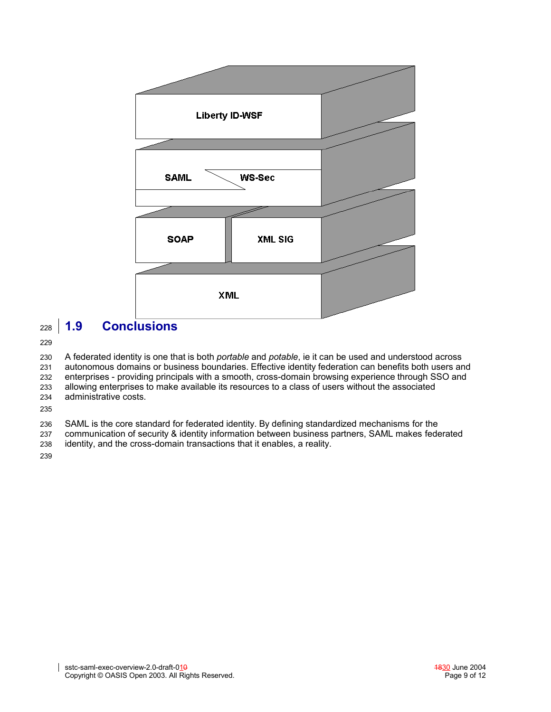

#### **1.9 Conclusions** 228

229

A federated identity is one that is both *portable* and *potable*, ie it can be used and understood across autonomous domains or business boundaries. Effective identity federation can benefits both users and enterprises - providing principals with a smooth, cross-domain browsing experience through SSO and allowing enterprises to make available its resources to a class of users without the associated administrative costs. 230 231 232 233 234

235

SAML is the core standard for federated identity. By defining standardized mechanisms for the 236

communication of security & identity information between business partners, SAML makes federated 237

identity, and the cross-domain transactions that it enables, a reality. 238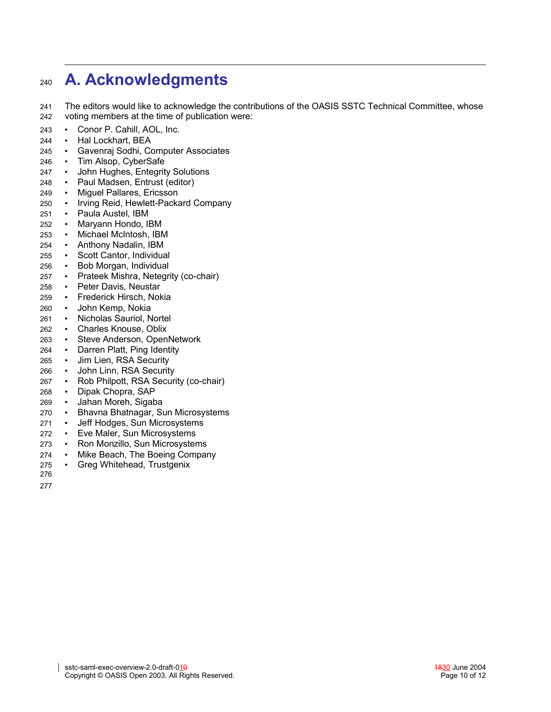#### **A. Acknowledgments** 240

The editors would like to acknowledge the contributions of the OASIS SSTC Technical Committee, whose voting members at the time of publication were: 241 242

- Conor P. Cahill, AOL, Inc. 243
- Hal Lockhart, BEA 244
- Gavenraj Sodhi, Computer Associates 245
- Tim Alsop, CyberSafe 246
- John Hughes, Entegrity Solutions 247
- Paul Madsen, Entrust (editor) 248
- Miguel Pallares, Ericsson 249
- Irving Reid, Hewlett-Packard Company 250
- Paula Austel, IBM 251
- Maryann Hondo, IBM 252
- Michael McIntosh, IBM 253
- Anthony Nadalin, IBM 254
- Scott Cantor, Individual 255
- Bob Morgan, Individual 256
- Prateek Mishra, Netegrity (co-chair) 257
- Peter Davis, Neustar 258
- Frederick Hirsch, Nokia 259
- John Kemp, Nokia 260
- Nicholas Sauriol, Nortel 261
- Charles Knouse, Oblix 262
- Steve Anderson, OpenNetwork 263
- Darren Platt, Ping Identity 264
- Jim Lien, RSA Security 265
- John Linn, RSA Security 266
- Rob Philpott, RSA Security (co-chair) 267
- Dipak Chopra, SAP 268
- Jahan Moreh, Sigaba 269
- Bhavna Bhatnagar, Sun Microsystems 270
- Jeff Hodges, Sun Microsystems 271
- Eve Maler, Sun Microsystems 272
- Ron Monzillo, Sun Microsystems 273
- Mike Beach, The Boeing Company 274
- Greg Whitehead, Trustgenix 275 276
- 277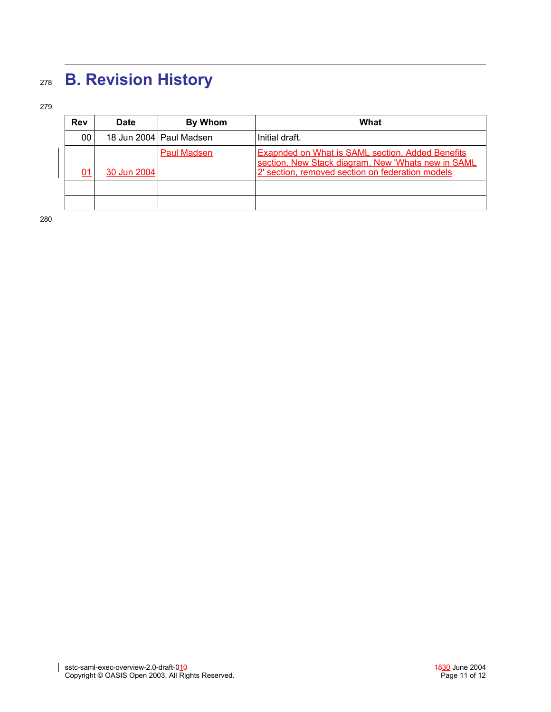# **B. Revision History** 278

279

| <b>Rev</b> | <b>Date</b> | By Whom                   | What                                                                                                                                                              |
|------------|-------------|---------------------------|-------------------------------------------------------------------------------------------------------------------------------------------------------------------|
| 00         |             | 18 Jun 2004   Paul Madsen | Initial draft.                                                                                                                                                    |
| 01         | 30 Jun 2004 | Paul Madsen               | <b>Exapnded on What is SAML section, Added Benefits</b><br>section, New Stack diagram, New 'Whats new in SAML<br>2' section, removed section on federation models |
|            |             |                           |                                                                                                                                                                   |
|            |             |                           |                                                                                                                                                                   |